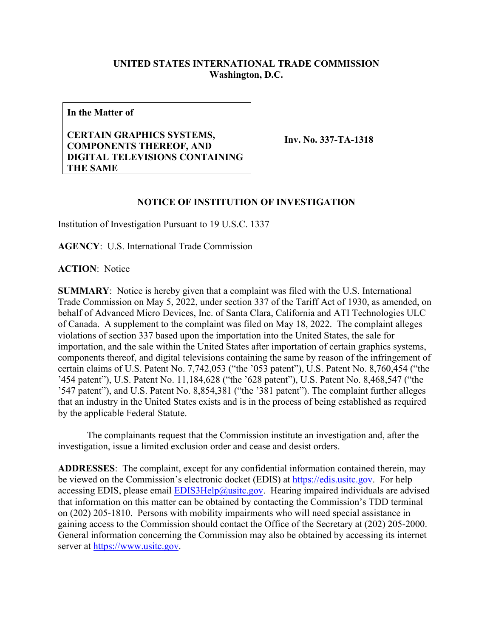## **UNITED STATES INTERNATIONAL TRADE COMMISSION Washington, D.C.**

**In the Matter of**

## **CERTAIN GRAPHICS SYSTEMS, COMPONENTS THEREOF, AND DIGITAL TELEVISIONS CONTAINING THE SAME**

**Inv. No. 337-TA-1318**

## **NOTICE OF INSTITUTION OF INVESTIGATION**

Institution of Investigation Pursuant to 19 U.S.C. 1337

**AGENCY**: U.S. International Trade Commission

**ACTION**: Notice

**SUMMARY**: Notice is hereby given that a complaint was filed with the U.S. International Trade Commission on May 5, 2022, under section 337 of the Tariff Act of 1930, as amended, on behalf of Advanced Micro Devices, Inc. of Santa Clara, California and ATI Technologies ULC of Canada. A supplement to the complaint was filed on May 18, 2022. The complaint alleges violations of section 337 based upon the importation into the United States, the sale for importation, and the sale within the United States after importation of certain graphics systems, components thereof, and digital televisions containing the same by reason of the infringement of certain claims of U.S. Patent No. 7,742,053 ("the '053 patent"), U.S. Patent No. 8,760,454 ("the '454 patent"), U.S. Patent No. 11,184,628 ("the '628 patent"), U.S. Patent No. 8,468,547 ("the '547 patent"), and U.S. Patent No. 8,854,381 ("the '381 patent"). The complaint further alleges that an industry in the United States exists and is in the process of being established as required by the applicable Federal Statute.

 The complainants request that the Commission institute an investigation and, after the investigation, issue a limited exclusion order and cease and desist orders.

**ADDRESSES**: The complaint, except for any confidential information contained therein, may be viewed on the Commission's electronic docket (EDIS) at [https://edis.usitc.gov.](https://edis.usitc.gov/) For help accessing EDIS, please email  $EDIS3Help@ustc.gov$ . Hearing impaired individuals are advised that information on this matter can be obtained by contacting the Commission's TDD terminal on (202) 205-1810. Persons with mobility impairments who will need special assistance in gaining access to the Commission should contact the Office of the Secretary at (202) 205-2000. General information concerning the Commission may also be obtained by accessing its internet server at [https://www.usitc.gov.](https://www.usitc.gov/)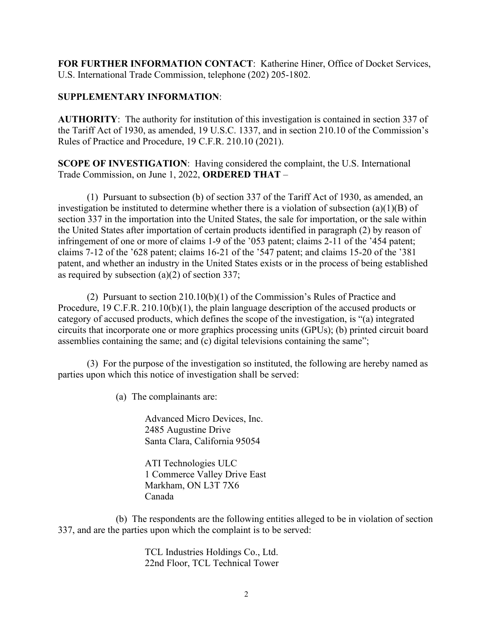**FOR FURTHER INFORMATION CONTACT**: Katherine Hiner, Office of Docket Services, U.S. International Trade Commission, telephone (202) 205-1802.

## **SUPPLEMENTARY INFORMATION**:

**AUTHORITY**: The authority for institution of this investigation is contained in section 337 of the Tariff Act of 1930, as amended, 19 U.S.C. 1337, and in section 210.10 of the Commission's Rules of Practice and Procedure, 19 C.F.R. 210.10 (2021).

**SCOPE OF INVESTIGATION**: Having considered the complaint, the U.S. International Trade Commission, on June 1, 2022, **ORDERED THAT** –

(1) Pursuant to subsection (b) of section 337 of the Tariff Act of 1930, as amended, an investigation be instituted to determine whether there is a violation of subsection (a)(1)(B) of section 337 in the importation into the United States, the sale for importation, or the sale within the United States after importation of certain products identified in paragraph (2) by reason of infringement of one or more of claims 1-9 of the '053 patent; claims 2-11 of the '454 patent; claims 7-12 of the '628 patent; claims 16-21 of the '547 patent; and claims 15-20 of the '381 patent, and whether an industry in the United States exists or in the process of being established as required by subsection (a)(2) of section 337;

(2) Pursuant to section 210.10(b)(1) of the Commission's Rules of Practice and Procedure, 19 C.F.R. 210.10(b)(1), the plain language description of the accused products or category of accused products, which defines the scope of the investigation, is "(a) integrated circuits that incorporate one or more graphics processing units (GPUs); (b) printed circuit board assemblies containing the same; and (c) digital televisions containing the same";

(3) For the purpose of the investigation so instituted, the following are hereby named as parties upon which this notice of investigation shall be served:

(a) The complainants are:

Advanced Micro Devices, Inc. 2485 Augustine Drive Santa Clara, California 95054

ATI Technologies ULC 1 Commerce Valley Drive East Markham, ON L3T 7X6 Canada

(b) The respondents are the following entities alleged to be in violation of section 337, and are the parties upon which the complaint is to be served:

> TCL Industries Holdings Co., Ltd. 22nd Floor, TCL Technical Tower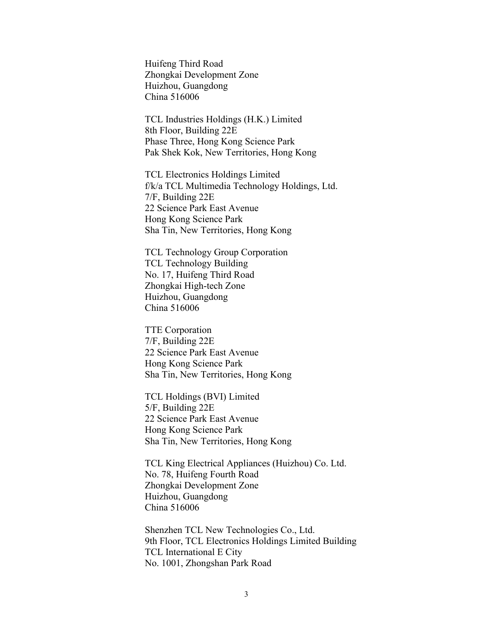Huifeng Third Road Zhongkai Development Zone Huizhou, Guangdong China 516006

TCL Industries Holdings (H.K.) Limited 8th Floor, Building 22E Phase Three, Hong Kong Science Park Pak Shek Kok, New Territories, Hong Kong

TCL Electronics Holdings Limited f/k/a TCL Multimedia Technology Holdings, Ltd. 7/F, Building 22E 22 Science Park East Avenue Hong Kong Science Park Sha Tin, New Territories, Hong Kong

TCL Technology Group Corporation TCL Technology Building No. 17, Huifeng Third Road Zhongkai High-tech Zone Huizhou, Guangdong China 516006

TTE Corporation 7/F, Building 22E 22 Science Park East Avenue Hong Kong Science Park Sha Tin, New Territories, Hong Kong

TCL Holdings (BVI) Limited 5/F, Building 22E 22 Science Park East Avenue Hong Kong Science Park Sha Tin, New Territories, Hong Kong

TCL King Electrical Appliances (Huizhou) Co. Ltd. No. 78, Huifeng Fourth Road Zhongkai Development Zone Huizhou, Guangdong China 516006

Shenzhen TCL New Technologies Co., Ltd. 9th Floor, TCL Electronics Holdings Limited Building TCL International E City No. 1001, Zhongshan Park Road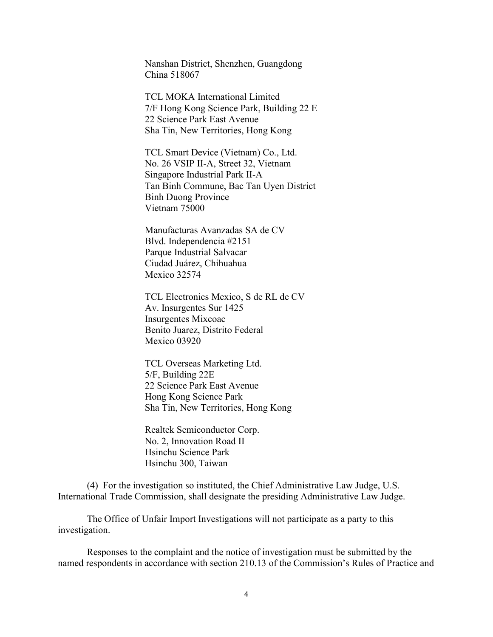Nanshan District, Shenzhen, Guangdong China 518067

TCL MOKA International Limited 7/F Hong Kong Science Park, Building 22 E 22 Science Park East Avenue Sha Tin, New Territories, Hong Kong

TCL Smart Device (Vietnam) Co., Ltd. No. 26 VSIP II-A, Street 32, Vietnam Singapore Industrial Park II-A Tan Binh Commune, Bac Tan Uyen District Binh Duong Province Vietnam 75000

Manufacturas Avanzadas SA de CV Blvd. Independencia #2151 Parque Industrial Salvacar Ciudad Juárez, Chihuahua Mexico 32574

TCL Electronics Mexico, S de RL de CV Av. Insurgentes Sur 1425 Insurgentes Mixcoac Benito Juarez, Distrito Federal Mexico 03920

TCL Overseas Marketing Ltd. 5/F, Building 22E 22 Science Park East Avenue Hong Kong Science Park Sha Tin, New Territories, Hong Kong

Realtek Semiconductor Corp. No. 2, Innovation Road II Hsinchu Science Park Hsinchu 300, Taiwan

(4) For the investigation so instituted, the Chief Administrative Law Judge, U.S. International Trade Commission, shall designate the presiding Administrative Law Judge.

The Office of Unfair Import Investigations will not participate as a party to this investigation.

Responses to the complaint and the notice of investigation must be submitted by the named respondents in accordance with section 210.13 of the Commission's Rules of Practice and